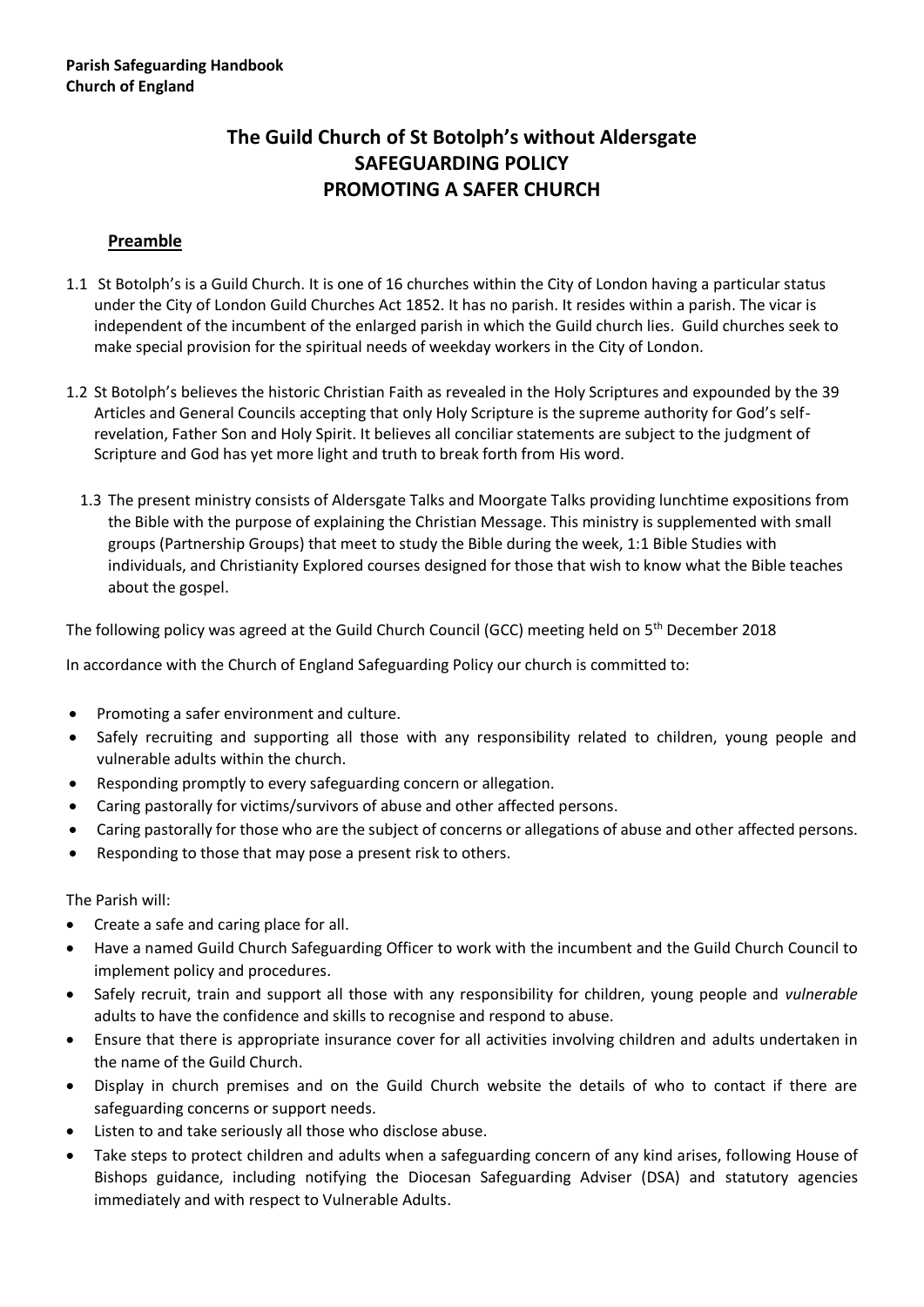# **The Guild Church of St Botolph's without Aldersgate SAFEGUARDING POLICY PROMOTING A SAFER CHURCH**

#### **Preamble**

- 1.1 St Botolph's is a Guild Church. It is one of 16 churches within the City of London having a particular status under the City of London Guild Churches Act 1852. It has no parish. It resides within a parish. The vicar is independent of the incumbent of the enlarged parish in which the Guild church lies. Guild churches seek to make special provision for the spiritual needs of weekday workers in the City of London.
- 1.2 St Botolph's believes the historic Christian Faith as revealed in the Holy Scriptures and expounded by the 39 Articles and General Councils accepting that only Holy Scripture is the supreme authority for God's selfrevelation, Father Son and Holy Spirit. It believes all conciliar statements are subject to the judgment of Scripture and God has yet more light and truth to break forth from His word.
	- 1.3 The present ministry consists of Aldersgate Talks and Moorgate Talks providing lunchtime expositions from the Bible with the purpose of explaining the Christian Message. This ministry is supplemented with small groups (Partnership Groups) that meet to study the Bible during the week, 1:1 Bible Studies with individuals, and Christianity Explored courses designed for those that wish to know what the Bible teaches about the gospel.

The following policy was agreed at the Guild Church Council (GCC) meeting held on 5<sup>th</sup> December 2018

In accordance with the Church of England Safeguarding Policy our church is committed to:

- Promoting a safer environment and culture.
- Safely recruiting and supporting all those with any responsibility related to children, young people and vulnerable adults within the church.
- Responding promptly to every safeguarding concern or allegation.
- Caring pastorally for victims/survivors of abuse and other affected persons.
- Caring pastorally for those who are the subject of concerns or allegations of abuse and other affected persons.
- Responding to those that may pose a present risk to others.

The Parish will:

- Create a safe and caring place for all.
- Have a named Guild Church Safeguarding Officer to work with the incumbent and the Guild Church Council to implement policy and procedures.
- Safely recruit, train and support all those with any responsibility for children, young people and *vulnerable* adults to have the confidence and skills to recognise and respond to abuse.
- Ensure that there is appropriate insurance cover for all activities involving children and adults undertaken in the name of the Guild Church.
- Display in church premises and on the Guild Church website the details of who to contact if there are safeguarding concerns or support needs.
- Listen to and take seriously all those who disclose abuse.
- Take steps to protect children and adults when a safeguarding concern of any kind arises, following House of Bishops guidance, including notifying the Diocesan Safeguarding Adviser (DSA) and statutory agencies immediately and with respect to Vulnerable Adults.